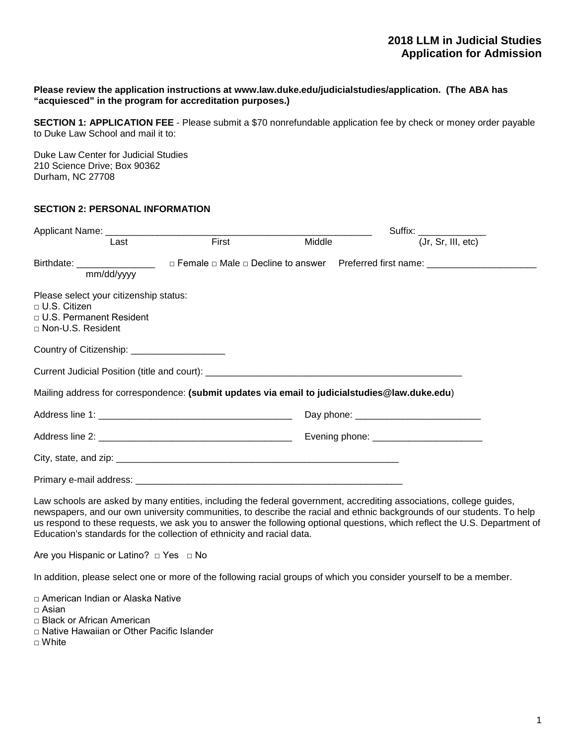### **Please review the application instructions at www.law.duke.edu/judicialstudies/application. (The ABA has "acquiesced" in the program for accreditation purposes.)**

**SECTION 1: APPLICATION FEE** - Please submit a \$70 nonrefundable application fee by check or money order payable to Duke Law School and mail it to:

Duke Law Center for Judicial Studies 210 Science Drive; Box 90362 Durham, NC 27708

## **SECTION 2: PERSONAL INFORMATION**

| Last                                                                                                                     | First | Middle | Suffix: $\frac{1}{(Jr, Sr, III, etc)}$        |  |  |
|--------------------------------------------------------------------------------------------------------------------------|-------|--------|-----------------------------------------------|--|--|
| mm/dd/yyyy                                                                                                               |       |        |                                               |  |  |
| Please select your citizenship status:<br>$\sqcap$ U.S. Citizen<br>$\Box$ U.S. Permanent Resident<br>□ Non-U.S. Resident |       |        |                                               |  |  |
| Country of Citizenship: ______________________                                                                           |       |        |                                               |  |  |
|                                                                                                                          |       |        |                                               |  |  |
| Mailing address for correspondence: (submit updates via email to judicialstudies@law.duke.edu)                           |       |        |                                               |  |  |
|                                                                                                                          |       |        | Day phone: <u>___________________________</u> |  |  |
|                                                                                                                          |       |        | Evening phone: ________________________       |  |  |
|                                                                                                                          |       |        |                                               |  |  |
|                                                                                                                          |       |        |                                               |  |  |

Law schools are asked by many entities, including the federal government, accrediting associations, college guides, newspapers, and our own university communities, to describe the racial and ethnic backgrounds of our students. To help us respond to these requests, we ask you to answer the following optional questions, which reflect the U.S. Department of Education's standards for the collection of ethnicity and racial data.

Are you Hispanic or Latino? □ Yes □ No

In addition, please select one or more of the following racial groups of which you consider yourself to be a member.

□ American Indian or Alaska Native

 $\sqcap$  Asian

□ Black or African American

□ Native Hawaiian or Other Pacific Islander

□ White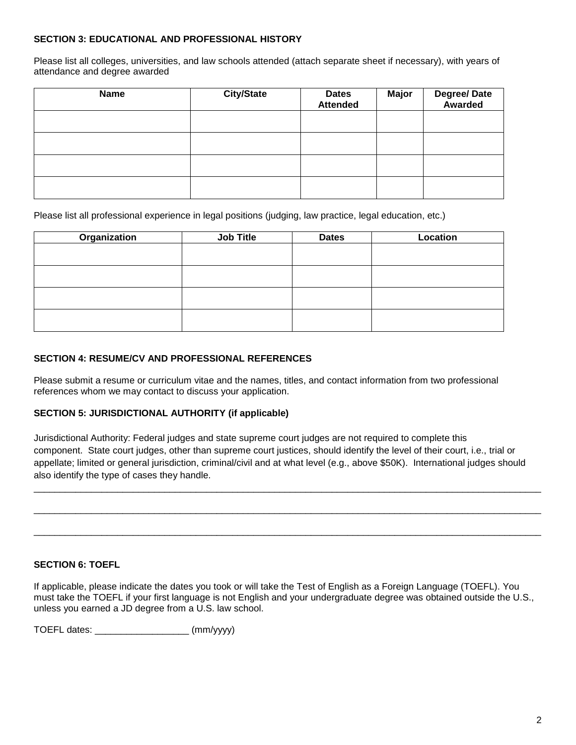## **SECTION 3: EDUCATIONAL AND PROFESSIONAL HISTORY**

Please list all colleges, universities, and law schools attended (attach separate sheet if necessary), with years of attendance and degree awarded

| <b>Name</b> | <b>City/State</b> | <b>Dates</b><br><b>Attended</b> | <b>Major</b> | Degree/Date<br>Awarded |
|-------------|-------------------|---------------------------------|--------------|------------------------|
|             |                   |                                 |              |                        |
|             |                   |                                 |              |                        |
|             |                   |                                 |              |                        |
|             |                   |                                 |              |                        |

Please list all professional experience in legal positions (judging, law practice, legal education, etc.)

| Organization | <b>Job Title</b> | <b>Dates</b> | Location |
|--------------|------------------|--------------|----------|
|              |                  |              |          |
|              |                  |              |          |
|              |                  |              |          |
|              |                  |              |          |
|              |                  |              |          |

## **SECTION 4: RESUME/CV AND PROFESSIONAL REFERENCES**

Please submit a resume or curriculum vitae and the names, titles, and contact information from two professional references whom we may contact to discuss your application.

## **SECTION 5: JURISDICTIONAL AUTHORITY (if applicable)**

Jurisdictional Authority: Federal judges and state supreme court judges are not required to complete this component. State court judges, other than supreme court justices, should identify the level of their court, i.e., trial or appellate; limited or general jurisdiction, criminal/civil and at what level (e.g., above \$50K). International judges should also identify the type of cases they handle.

\_\_\_\_\_\_\_\_\_\_\_\_\_\_\_\_\_\_\_\_\_\_\_\_\_\_\_\_\_\_\_\_\_\_\_\_\_\_\_\_\_\_\_\_\_\_\_\_\_\_\_\_\_\_\_\_\_\_\_\_\_\_\_\_\_\_\_\_\_\_\_\_\_\_\_\_\_\_\_\_\_\_\_\_\_\_\_\_\_\_\_\_\_\_\_\_\_

\_\_\_\_\_\_\_\_\_\_\_\_\_\_\_\_\_\_\_\_\_\_\_\_\_\_\_\_\_\_\_\_\_\_\_\_\_\_\_\_\_\_\_\_\_\_\_\_\_\_\_\_\_\_\_\_\_\_\_\_\_\_\_\_\_\_\_\_\_\_\_\_\_\_\_\_\_\_\_\_\_\_\_\_\_\_\_\_\_\_\_\_\_\_\_\_\_

\_\_\_\_\_\_\_\_\_\_\_\_\_\_\_\_\_\_\_\_\_\_\_\_\_\_\_\_\_\_\_\_\_\_\_\_\_\_\_\_\_\_\_\_\_\_\_\_\_\_\_\_\_\_\_\_\_\_\_\_\_\_\_\_\_\_\_\_\_\_\_\_\_\_\_\_\_\_\_\_\_\_\_\_\_\_\_\_\_\_\_\_\_\_\_\_\_

## **SECTION 6: TOEFL**

If applicable, please indicate the dates you took or will take the Test of English as a Foreign Language (TOEFL). You must take the TOEFL if your first language is not English and your undergraduate degree was obtained outside the U.S., unless you earned a JD degree from a U.S. law school.

TOEFL dates: \_\_\_\_\_\_\_\_\_\_\_\_\_\_\_\_\_\_ (mm/yyyy)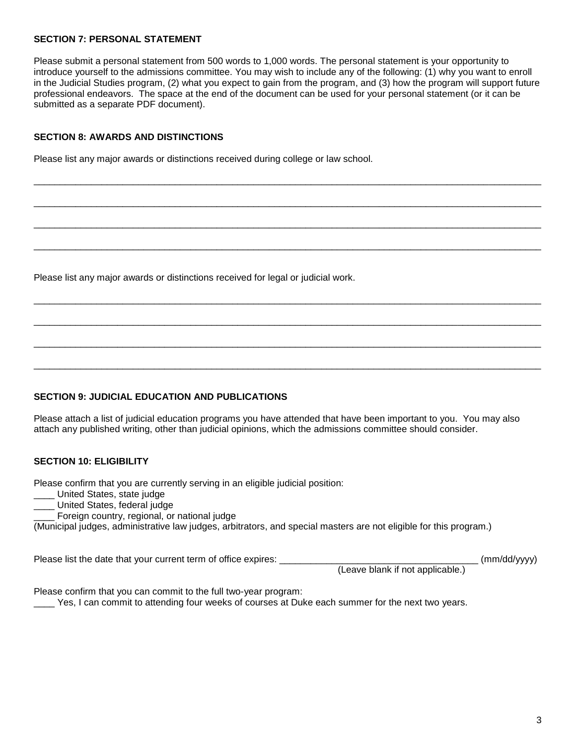#### **SECTION 7: PERSONAL STATEMENT**

Please submit a personal statement from 500 words to 1,000 words. The personal statement is your opportunity to introduce yourself to the admissions committee. You may wish to include any of the following: (1) why you want to enroll in the Judicial Studies program, (2) what you expect to gain from the program, and (3) how the program will support future professional endeavors. The space at the end of the document can be used for your personal statement (or it can be submitted as a separate PDF document).

\_\_\_\_\_\_\_\_\_\_\_\_\_\_\_\_\_\_\_\_\_\_\_\_\_\_\_\_\_\_\_\_\_\_\_\_\_\_\_\_\_\_\_\_\_\_\_\_\_\_\_\_\_\_\_\_\_\_\_\_\_\_\_\_\_\_\_\_\_\_\_\_\_\_\_\_\_\_\_\_\_\_\_\_\_\_\_\_\_\_\_\_\_\_\_\_\_

 $\_$  ,  $\_$  ,  $\_$  ,  $\_$  ,  $\_$  ,  $\_$  ,  $\_$  ,  $\_$  ,  $\_$  ,  $\_$  ,  $\_$  ,  $\_$  ,  $\_$  ,  $\_$  ,  $\_$  ,  $\_$  ,  $\_$  ,  $\_$  ,  $\_$  ,  $\_$  ,  $\_$  ,  $\_$  ,  $\_$  ,  $\_$  ,  $\_$  ,  $\_$  ,  $\_$  ,  $\_$  ,  $\_$  ,  $\_$  ,  $\_$  ,  $\_$  ,  $\_$  ,  $\_$  ,  $\_$  ,  $\_$  ,  $\_$  ,

\_\_\_\_\_\_\_\_\_\_\_\_\_\_\_\_\_\_\_\_\_\_\_\_\_\_\_\_\_\_\_\_\_\_\_\_\_\_\_\_\_\_\_\_\_\_\_\_\_\_\_\_\_\_\_\_\_\_\_\_\_\_\_\_\_\_\_\_\_\_\_\_\_\_\_\_\_\_\_\_\_\_\_\_\_\_\_\_\_\_\_\_\_\_\_\_\_

\_\_\_\_\_\_\_\_\_\_\_\_\_\_\_\_\_\_\_\_\_\_\_\_\_\_\_\_\_\_\_\_\_\_\_\_\_\_\_\_\_\_\_\_\_\_\_\_\_\_\_\_\_\_\_\_\_\_\_\_\_\_\_\_\_\_\_\_\_\_\_\_\_\_\_\_\_\_\_\_\_\_\_\_\_\_\_\_\_\_\_\_\_\_\_\_\_

 $\_$  ,  $\_$  ,  $\_$  ,  $\_$  ,  $\_$  ,  $\_$  ,  $\_$  ,  $\_$  ,  $\_$  ,  $\_$  ,  $\_$  ,  $\_$  ,  $\_$  ,  $\_$  ,  $\_$  ,  $\_$  ,  $\_$  ,  $\_$  ,  $\_$  ,  $\_$  ,  $\_$  ,  $\_$  ,  $\_$  ,  $\_$  ,  $\_$  ,  $\_$  ,  $\_$  ,  $\_$  ,  $\_$  ,  $\_$  ,  $\_$  ,  $\_$  ,  $\_$  ,  $\_$  ,  $\_$  ,  $\_$  ,  $\_$  ,

 $\_$  ,  $\_$  ,  $\_$  ,  $\_$  ,  $\_$  ,  $\_$  ,  $\_$  ,  $\_$  ,  $\_$  ,  $\_$  ,  $\_$  ,  $\_$  ,  $\_$  ,  $\_$  ,  $\_$  ,  $\_$  ,  $\_$  ,  $\_$  ,  $\_$  ,  $\_$  ,  $\_$  ,  $\_$  ,  $\_$  ,  $\_$  ,  $\_$  ,  $\_$  ,  $\_$  ,  $\_$  ,  $\_$  ,  $\_$  ,  $\_$  ,  $\_$  ,  $\_$  ,  $\_$  ,  $\_$  ,  $\_$  ,  $\_$  ,

 $\_$  ,  $\_$  ,  $\_$  ,  $\_$  ,  $\_$  ,  $\_$  ,  $\_$  ,  $\_$  ,  $\_$  ,  $\_$  ,  $\_$  ,  $\_$  ,  $\_$  ,  $\_$  ,  $\_$  ,  $\_$  ,  $\_$  ,  $\_$  ,  $\_$  ,  $\_$  ,  $\_$  ,  $\_$  ,  $\_$  ,  $\_$  ,  $\_$  ,  $\_$  ,  $\_$  ,  $\_$  ,  $\_$  ,  $\_$  ,  $\_$  ,  $\_$  ,  $\_$  ,  $\_$  ,  $\_$  ,  $\_$  ,  $\_$  ,

 $\_$  ,  $\_$  ,  $\_$  ,  $\_$  ,  $\_$  ,  $\_$  ,  $\_$  ,  $\_$  ,  $\_$  ,  $\_$  ,  $\_$  ,  $\_$  ,  $\_$  ,  $\_$  ,  $\_$  ,  $\_$  ,  $\_$  ,  $\_$  ,  $\_$  ,  $\_$  ,  $\_$  ,  $\_$  ,  $\_$  ,  $\_$  ,  $\_$  ,  $\_$  ,  $\_$  ,  $\_$  ,  $\_$  ,  $\_$  ,  $\_$  ,  $\_$  ,  $\_$  ,  $\_$  ,  $\_$  ,  $\_$  ,  $\_$  ,

## **SECTION 8: AWARDS AND DISTINCTIONS**

Please list any major awards or distinctions received during college or law school.

Please list any major awards or distinctions received for legal or judicial work.

## **SECTION 9: JUDICIAL EDUCATION AND PUBLICATIONS**

Please attach a list of judicial education programs you have attended that have been important to you. You may also attach any published writing, other than judicial opinions, which the admissions committee should consider.

### **SECTION 10: ELIGIBILITY**

Please confirm that you are currently serving in an eligible judicial position:

- \_\_\_\_ United States, state judge
- \_\_\_\_ United States, federal judge
- Foreign country, regional, or national judge

(Municipal judges, administrative law judges, arbitrators, and special masters are not eligible for this program.)

Please list the date that your current term of office expires: \_\_\_\_\_\_\_\_\_\_\_\_\_\_\_\_\_\_\_\_\_\_\_\_\_\_\_\_\_\_\_\_\_\_\_\_\_\_ (mm/dd/yyyy)

(Leave blank if not applicable.)

Please confirm that you can commit to the full two-year program:

Yes, I can commit to attending four weeks of courses at Duke each summer for the next two years.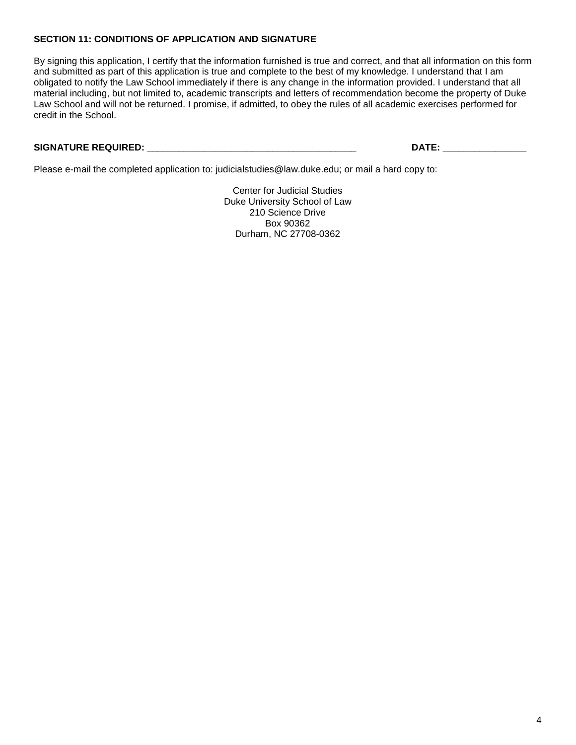# **SECTION 11: CONDITIONS OF APPLICATION AND SIGNATURE**

By signing this application, I certify that the information furnished is true and correct, and that all information on this form and submitted as part of this application is true and complete to the best of my knowledge. I understand that I am obligated to notify the Law School immediately if there is any change in the information provided. I understand that all material including, but not limited to, academic transcripts and letters of recommendation become the property of Duke Law School and will not be returned. I promise, if admitted, to obey the rules of all academic exercises performed for credit in the School.

# **SIGNATURE REQUIRED: \_\_\_\_\_\_\_\_\_\_\_\_\_\_\_\_\_\_\_\_\_\_\_\_\_\_\_\_\_\_\_\_\_\_\_\_\_\_\_\_ DATE: \_\_\_\_\_\_\_\_\_\_\_\_\_\_\_\_**

Please e-mail the completed application to: judicialstudies@law.duke.edu; or mail a hard copy to:

Center for Judicial Studies Duke University School of Law 210 Science Drive Box 90362 Durham, NC 27708-0362